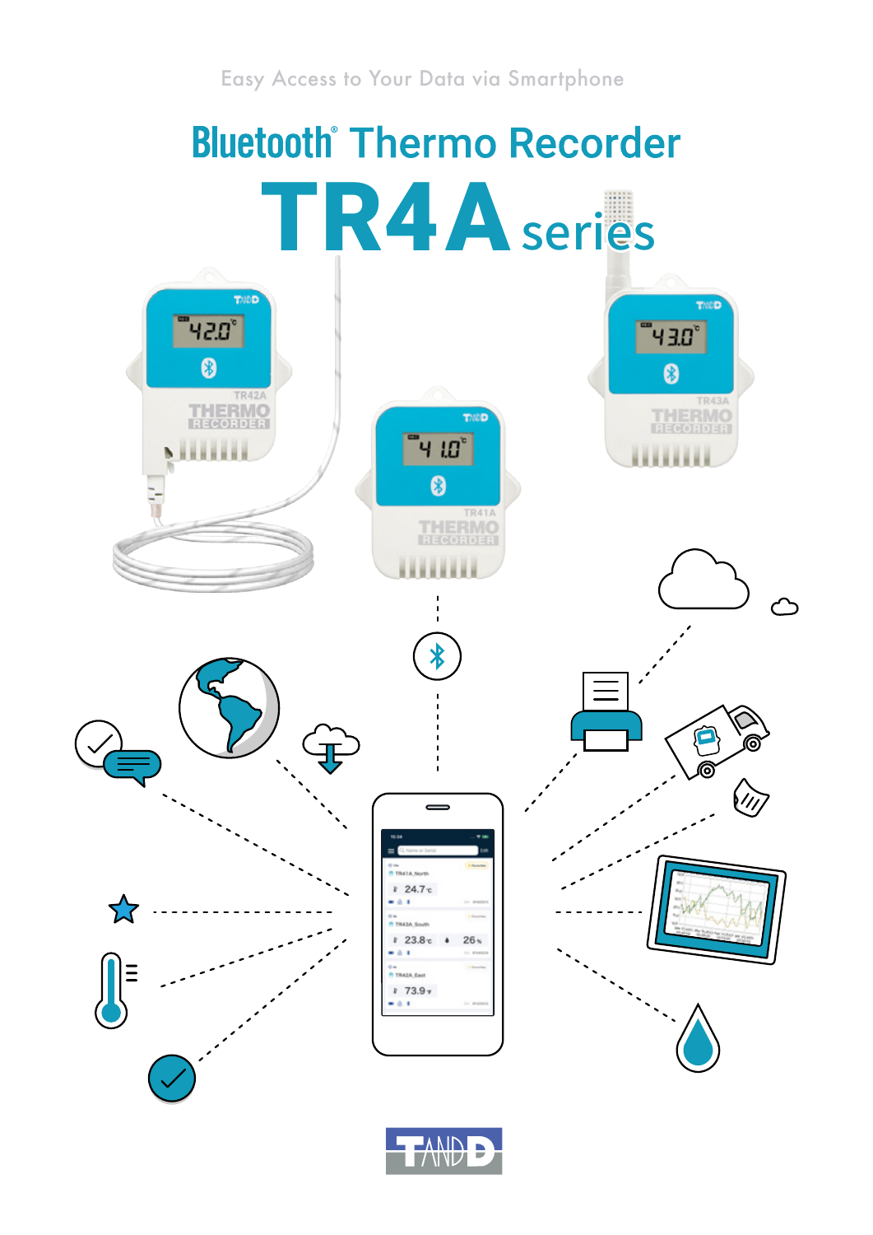## **Bluetooth Thermo Recorder** TR4Aseries THOD TMDD ำ42.0° <u>ីម 3.0</u> 0 Ø HERMO **THERMO** THED '។ យ៉ 0 **THERMO**<br>RECORDER  $\bigtriangledown$ E ൫ ൫  $\dot{\mathcal{U}}$ ana suus  $24.7c$ 55 **BASA South**  $23.8c$  $26<sub>5</sub>$  $-0.1$ TRAZA ENH  $173.97$

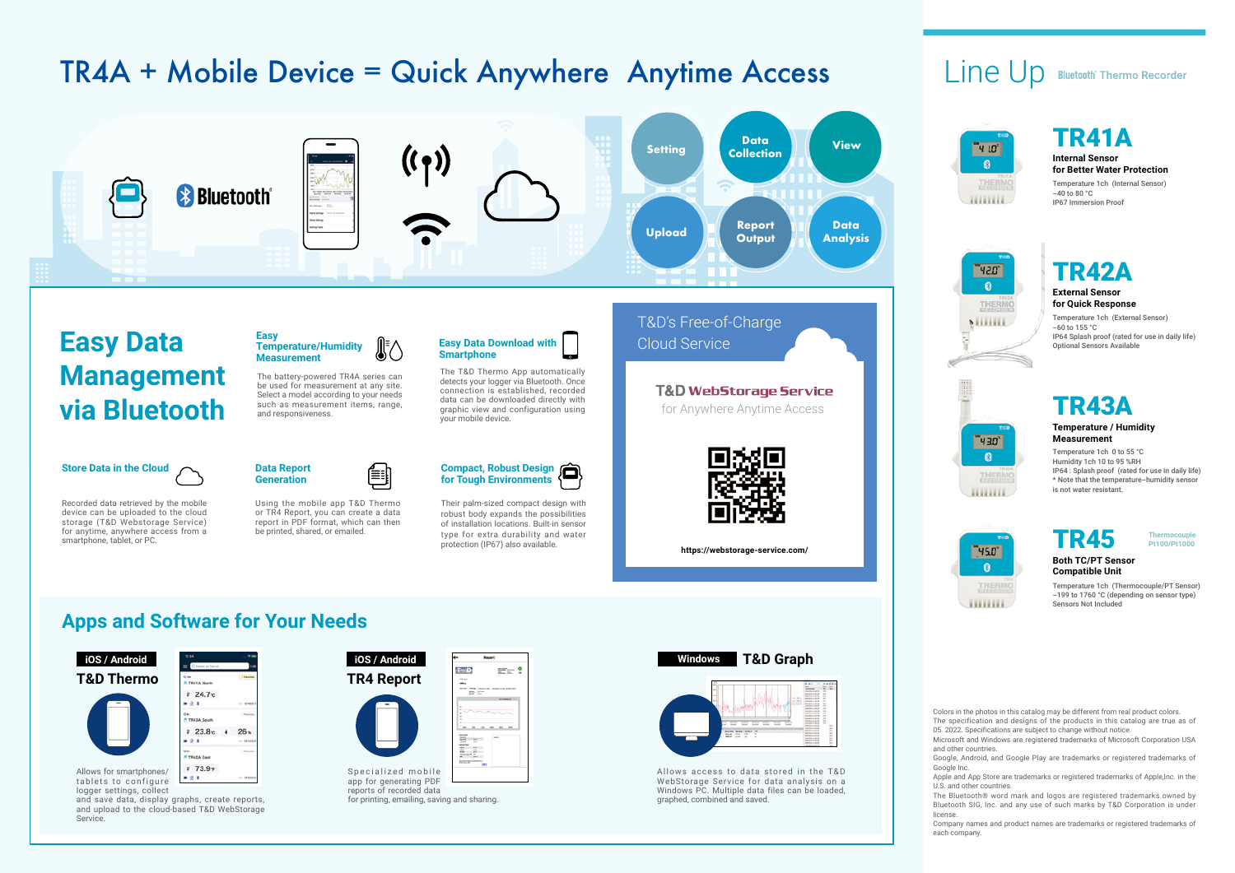protection (IP67) also available.





### **Apps and Software for Your Needs**

 $24.7c$  $-0.1$ ia<br>**1** TR43A\_South

 $23.8c$ 

TR42A\_Eas  $173.97$  $-0.1$ 

 $-21$ 

 $26<sub>5</sub>$ 



Allows for smartphones/ tablets to configure logger settings, collect

and save data, display graphs, create reports, and upload to the cloud-based T&D WebStorage Service.

reports of recorded data for printing, emailing, saving and sharing.



Allows access to data stored in the T&D WebStorage Service for data analysis on a Windows PC. Multiple data files can be loaded, graphed, combined and saved.

### Line Up **Bluetooth** Thermo Recorder









**https://webstorage-service.com/**

Colors in the photos in this catalog may be different from real product colors.

The specification and designs of the products in this catalog are true as of 05. 2022. Specifications are subject to change without notice.

Microsoft and Windows are registered trademarks of Microsoft Corporation USA and other countries.



Google, Android, and Google Play are trademarks or registered trademarks of Google Inc.

Apple and App Store are trademarks or registered trademarks of Apple,Inc. in the U.S. and other countries.



The Bluetooth® word mark and logos are registered trademarks owned by Bluetooth SIG, Inc. and any use of such marks by T&D Corporation is under license.

Company names and product names are trademarks or registered trademarks of each company.

#### **Internal Sensor for Better Water Protection**

Temperature 1ch (Internal Sensor)  $-40$  to 80 °C. IP67 Immersion Proof

### TR41A

#### **External Sensor for Quick Response**

Temperature 1ch (External Sensor)  $-60$  to 155 °C IP64 Splash proof (rated for use in daily life) Optional Sensors Available



#### **Temperature / Humidity Measurement**

Temperature 1ch 0 to 55 °C Humidity 1ch 10 to 95 %RH IP64 : Splash proof (rated for use in daily life) \* Note that the temperature-humidity sensor is not water resistant.

### TR43A

#### **Both TC/PT Sensor Compatible Unit**

Temperature 1ch (Thermocouple/PT Sensor) -199 to 1760 °C (depending on sensor type) Sensors Not Included



**Pt100/Pt1000**

# TR4A + Mobile Device = Quick Anywhere Anytime Access